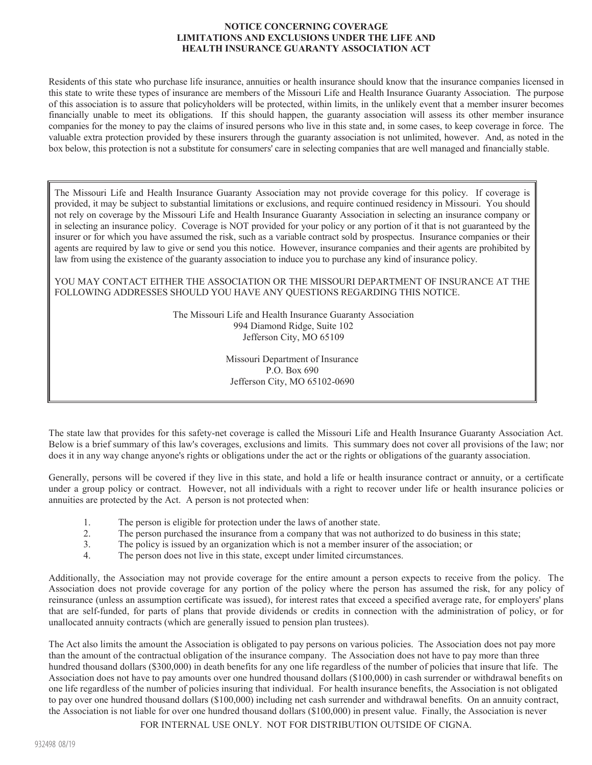## **NOTICE CONCERNING COVERAGE LIMITATIONS AND EXCLUSIONS UNDER THE LIFE AND HEALTH INSURANCE GUARANTY ASSOCIATION ACT**

Residents of this state who purchase life insurance, annuities or health insurance should know that the insurance companies licensed in this state to write these types of insurance are members of the Missouri Life and Health Insurance Guaranty Association. The purpose of this association is to assure that policyholders will be protected, within limits, in the unlikely event that a member insurer becomes financially unable to meet its obligations. If this should happen, the guaranty association will assess its other member insurance companies for the money to pay the claims of insured persons who live in this state and, in some cases, to keep coverage in force. The valuable extra protection provided by these insurers through the guaranty association is not unlimited, however. And, as noted in the box below, this protection is not a substitute for consumers' care in selecting companies that are well managed and financially stable.

The Missouri Life and Health Insurance Guaranty Association may not provide coverage for this policy. If coverage is provided, it may be subject to substantial limitations or exclusions, and require continued residency in Missouri. You should not rely on coverage by the Missouri Life and Health Insurance Guaranty Association in selecting an insurance company or in selecting an insurance policy. Coverage is NOT provided for your policy or any portion of it that is not guaranteed by the insurer or for which you have assumed the risk, such as a variable contract sold by prospectus. Insurance companies or their agents are required by law to give or send you this notice. However, insurance companies and their agents are prohibited by law from using the existence of the guaranty association to induce you to purchase any kind of insurance policy.

YOU MAY CONTACT EITHER THE ASSOCIATION OR THE MISSOURI DEPARTMENT OF INSURANCE AT THE FOLLOWING ADDRESSES SHOULD YOU HAVE ANY QUESTIONS REGARDING THIS NOTICE.

> The Missouri Life and Health Insurance Guaranty Association 994 Diamond Ridge, Suite 102 Jefferson City, MO 65109

> > Missouri Department of Insurance P.O. Box 690 Jefferson City, MO 65102-0690

The state law that provides for this safety-net coverage is called the Missouri Life and Health Insurance Guaranty Association Act. Below is a brief summary of this law's coverages, exclusions and limits. This summary does not cover all provisions of the law; nor does it in any way change anyone's rights or obligations under the act or the rights or obligations of the guaranty association.

Generally, persons will be covered if they live in this state, and hold a life or health insurance contract or annuity, or a certificate under a group policy or contract. However, not all individuals with a right to recover under life or health insurance policies or annuities are protected by the Act. A person is not protected when:

- 1. The person is eligible for protection under the laws of another state.
- 2. The person purchased the insurance from a company that was not authorized to do business in this state;
- 3. The policy is issued by an organization which is not a member insurer of the association; or
- 4. The person does not live in this state, except under limited circumstances.

Additionally, the Association may not provide coverage for the entire amount a person expects to receive from the policy. The Association does not provide coverage for any portion of the policy where the person has assumed the risk, for any policy of reinsurance (unless an assumption certificate was issued), for interest rates that exceed a specified average rate, for employers' plans that are self-funded, for parts of plans that provide dividends or credits in connection with the administration of policy, or for unallocated annuity contracts (which are generally issued to pension plan trustees).

The Act also limits the amount the Association is obligated to pay persons on various policies. The Association does not pay more than the amount of the contractual obligation of the insurance company. The Association does not have to pay more than three hundred thousand dollars (\$300,000) in death benefits for any one life regardless of the number of policies that insure that life. The Association does not have to pay amounts over one hundred thousand dollars (\$100,000) in cash surrender or withdrawal benefits on one life regardless of the number of policies insuring that individual. For health insurance benefits, the Association is not obligated to pay over one hundred thousand dollars (\$100,000) including net cash surrender and withdrawal benefits. On an annuity contract, the Association is not liable for over one hundred thousand dollars (\$100,000) in present value. Finally, the Association is never

FOR INTERNAL USE ONLY. NOT FOR DISTRIBUTION OUTSIDE OF CIGNA.